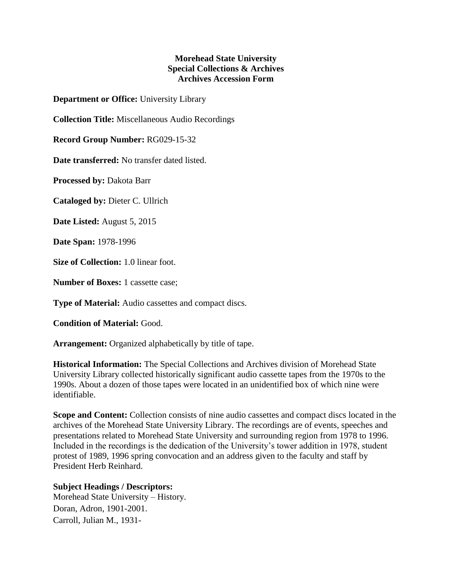## **Morehead State University Special Collections & Archives Archives Accession Form**

**Department or Office:** University Library

**Collection Title:** Miscellaneous Audio Recordings

**Record Group Number:** RG029-15-32

**Date transferred:** No transfer dated listed.

**Processed by:** Dakota Barr

**Cataloged by:** Dieter C. Ullrich

**Date Listed:** August 5, 2015

**Date Span:** 1978-1996

**Size of Collection:** 1.0 linear foot.

**Number of Boxes:** 1 cassette case:

**Type of Material:** Audio cassettes and compact discs.

**Condition of Material:** Good.

**Arrangement:** Organized alphabetically by title of tape.

**Historical Information:** The Special Collections and Archives division of Morehead State University Library collected historically significant audio cassette tapes from the 1970s to the 1990s. About a dozen of those tapes were located in an unidentified box of which nine were identifiable.

**Scope and Content:** Collection consists of nine audio cassettes and compact discs located in the archives of the Morehead State University Library. The recordings are of events, speeches and presentations related to Morehead State University and surrounding region from 1978 to 1996. Included in the recordings is the dedication of the University's tower addition in 1978, student protest of 1989, 1996 spring convocation and an address given to the faculty and staff by President Herb Reinhard.

## **Subject Headings / Descriptors:**

Morehead State University – History. Doran, Adron, 1901-2001. Carroll, Julian M., 1931